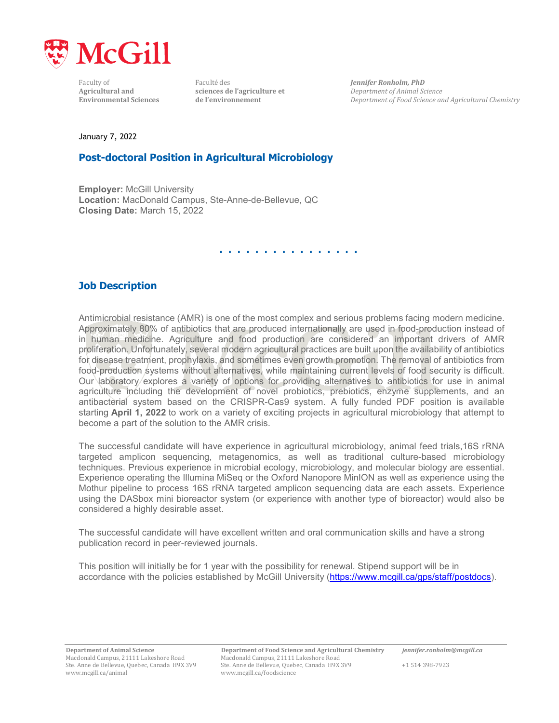

**Agricultural and sciences de l'agriculture et <b>***Department* **sciences** de l'environnement

Faculty of Faculté des **Faculté des** *Jennifer Ronholm, PhD*<br>**Agricultural and Sciences de l'agriculture et** *Department of Animal Science* **Environmental Sciences de l'environnement** *Department of Food Science and Agricultural Chemistry*

January 7, 2022

## **Post-doctoral Position in Agricultural Microbiology**

**Employer:** McGill University **Location:** MacDonald Campus, Ste-Anne-de-Bellevue, QC **Closing Date:** March 15, 2022

# . . . . . . . . . . . . . . . .

## **Job Description**

Antimicrobial resistance (AMR) is one of the most complex and serious problems facing modern medicine. Approximately 80% of antibiotics that are produced internationally are used in food-production instead of in human medicine. Agriculture and food production are considered an important drivers of AMR proliferation. Unfortunately, several modern agricultural practices are built upon the availability of antibiotics for disease treatment, prophylaxis, and sometimes even growth promotion. The removal of antibiotics from food-production systems without alternatives, while maintaining current levels of food security is difficult. Our laboratory explores a variety of options for providing alternatives to antibiotics for use in animal agriculture including the development of novel probiotics, prebiotics, enzyme supplements, and an antibacterial system based on the CRISPR-Cas9 system. A fully funded PDF position is available starting **April 1, 2022** to work on a variety of exciting projects in agricultural microbiology that attempt to become a part of the solution to the AMR crisis.

The successful candidate will have experience in agricultural microbiology, animal feed trials,16S rRNA targeted amplicon sequencing, metagenomics, as well as traditional culture-based microbiology techniques. Previous experience in microbial ecology, microbiology, and molecular biology are essential. Experience operating the Illumina MiSeq or the Oxford Nanopore MinION as well as experience using the Mothur pipeline to process 16S rRNA targeted amplicon sequencing data are each assets. Experience using the DASbox mini bioreactor system (or experience with another type of bioreactor) would also be considered a highly desirable asset.

The successful candidate will have excellent written and oral communication skills and have a strong publication record in peer-reviewed journals.

This position will initially be for 1 year with the possibility for renewal. Stipend support will be in accordance with the policies established by McGill University [\(https://www.mcgill.ca/gps/staff/postdocs\)](https://www.mcgill.ca/gps/staff/postdocs).